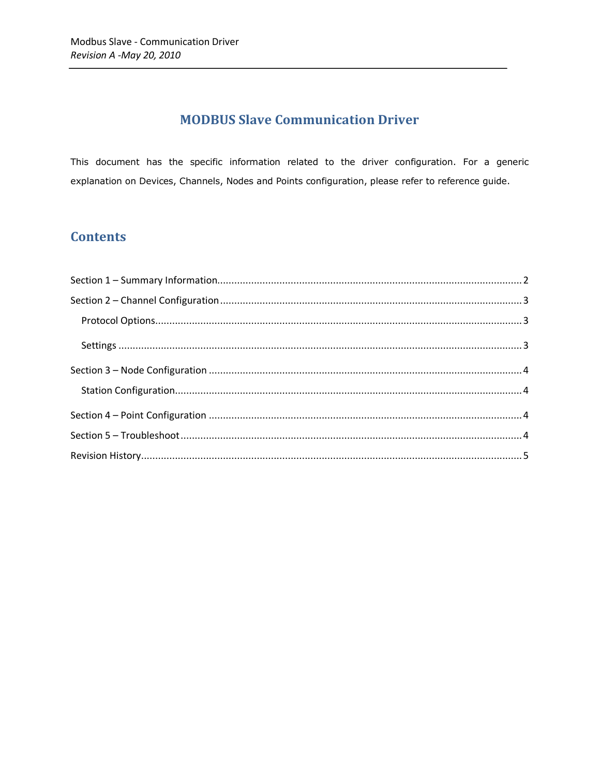# **MODBUS Slave Communication Driver**

This document has the specific information related to the driver configuration. For a generic explanation on Devices, Channels, Nodes and Points configuration, please refer to reference guide.

### **Contents**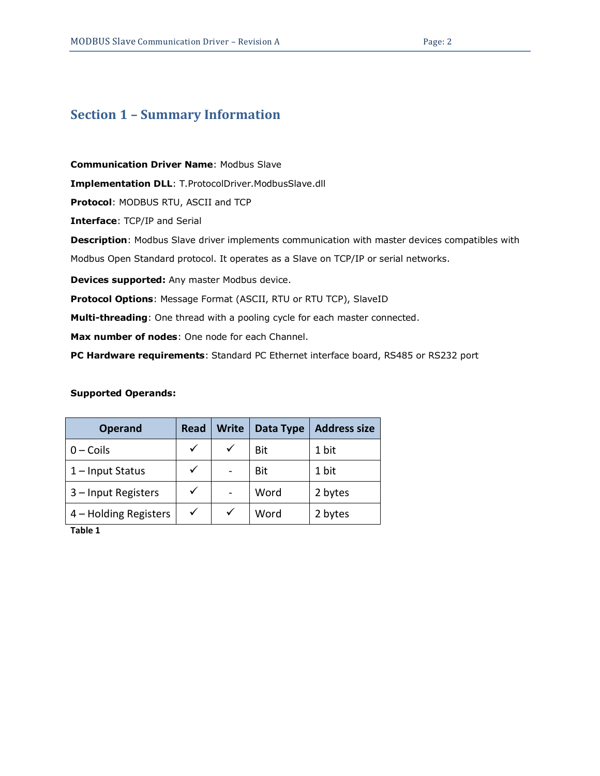# <span id="page-1-0"></span>**Section 1 – Summary Information**

**Communication Driver Name**: Modbus Slave **Implementation DLL**: T.ProtocolDriver.ModbusSlave.dll **Protocol**: MODBUS RTU, ASCII and TCP **Interface**: TCP/IP and Serial **Description**: Modbus Slave driver implements communication with master devices compatibles with Modbus Open Standard protocol. It operates as a Slave on TCP/IP or serial networks.

**Devices supported:** Any master Modbus device.

**Protocol Options**: Message Format (ASCII, RTU or RTU TCP), SlaveID

**Multi-threading**: One thread with a pooling cycle for each master connected.

**Max number of nodes**: One node for each Channel.

**PC Hardware requirements**: Standard PC Ethernet interface board, RS485 or RS232 port

#### **Supported Operands:**

| <b>Operand</b>        | <b>Read</b>  | <b>Write</b> | Data Type | <b>Address size</b> |
|-----------------------|--------------|--------------|-----------|---------------------|
| $0$ – Coils           | ✓            |              | Bit       | 1 bit               |
| 1-Input Status        | $\checkmark$ |              | Bit       | 1 bit               |
| 3 - Input Registers   | ✓            |              | Word      | 2 bytes             |
| 4 – Holding Registers | $\checkmark$ |              | Word      | 2 bytes             |

<span id="page-1-1"></span>**Table 1**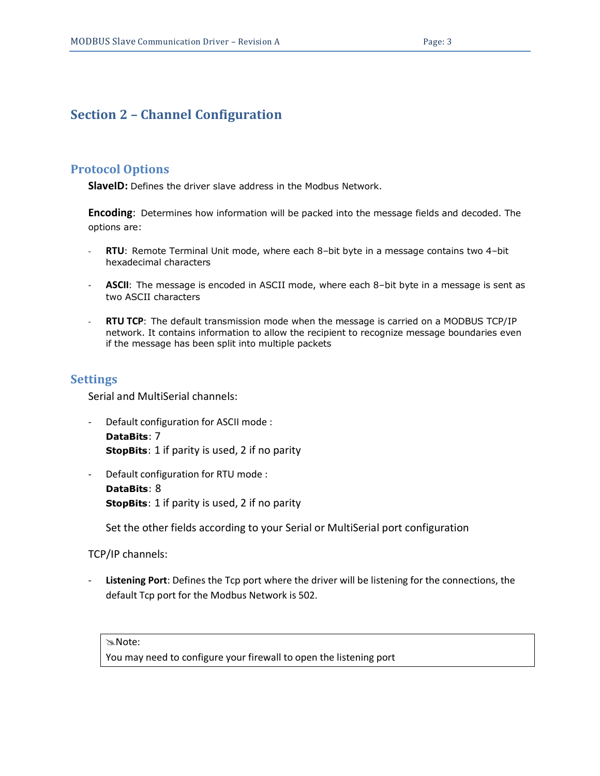## <span id="page-2-0"></span>**Section 2 – Channel Configuration**

#### <span id="page-2-1"></span>**Protocol Options**

**SlaveID:** Defines the driver slave address in the Modbus Network.

**Encoding**: Determines how information will be packed into the message fields and decoded. The options are:

- **RTU**: Remote Terminal Unit mode, where each 8–bit byte in a message contains two 4–bit hexadecimal characters
- **ASCII**: The message is encoded in ASCII mode, where each 8–bit byte in a message is sent as two ASCII characters
- **RTU TCP**: The default transmission mode when the message is carried on a MODBUS TCP/IP network. It contains information to allow the recipient to recognize message boundaries even if the message has been split into multiple packets

#### <span id="page-2-2"></span>**Settings**

Serial and MultiSerial channels:

```
Default configuration for ASCII mode :
DataBits: 7
StopBits: 1 if parity is used, 2 if no parity
```
Default configuration for RTU mode : **DataBits**: 8 **StopBits**: 1 if parity is used, 2 if no parity

Set the other fields according to your Serial or MultiSerial port configuration

TCP/IP channels:

Listening Port: Defines the Tcp port where the driver will be listening for the connections, the default Tcp port for the Modbus Network is 502.

Note:

You may need to configure your firewall to open the listening port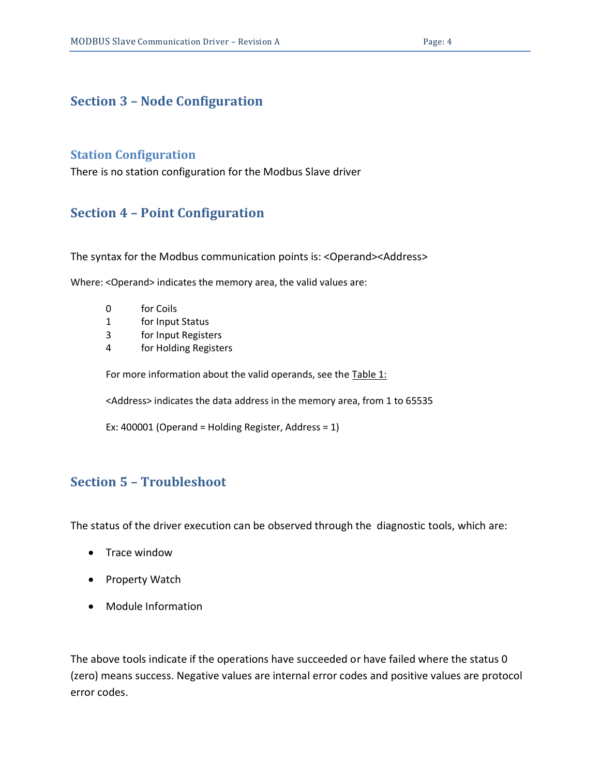### <span id="page-3-1"></span><span id="page-3-0"></span>**Section 3 – Node Configuration**

### **Station Configuration**

There is no station configuration for the Modbus Slave driver

### <span id="page-3-2"></span>**Section 4 – Point Configuration**

The syntax for the Modbus communication points is: <Operand><Address>

Where: <Operand> indicates the memory area, the valid values are:

- 0 for Coils
- 1 for Input Status
- 3 for Input Registers
- 4 for Holding Registers

For more information about the valid operands, see the [Table 1:](#page-1-1)

<Address> indicates the data address in the memory area, from 1 to 65535

Ex: 400001 (Operand = Holding Register, Address = 1)

# <span id="page-3-3"></span>**Section 5 – Troubleshoot**

The status of the driver execution can be observed through the diagnostic tools, which are:

- Trace window
- Property Watch
- Module Information

The above tools indicate if the operations have succeeded or have failed where the status 0 (zero) means success. Negative values are internal error codes and positive values are protocol error codes.